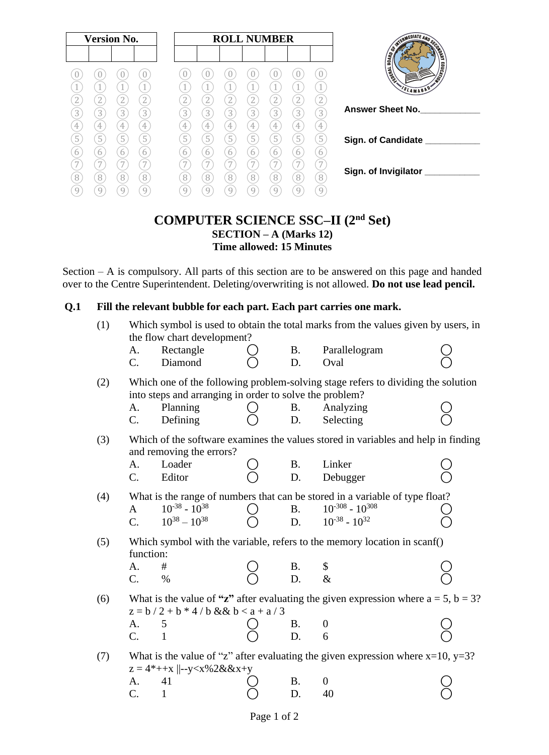| <b>Version No.</b>  |                          |                          |                     | <b>ROLL NUMBER</b>  |                             |                                |                | TERMEDIATE AND SEX   |                             |                                   |                                                        |
|---------------------|--------------------------|--------------------------|---------------------|---------------------|-----------------------------|--------------------------------|----------------|----------------------|-----------------------------|-----------------------------------|--------------------------------------------------------|
|                     | U                        | U                        |                     |                     |                             |                                |                |                      |                             | $\theta$                          | ONDREA<br><b>BOARD OF</b><br>$\frac{1}{2}$<br>I Magnes |
| 2                   | $\overline{2}$           | 1<br>$\overline{2}$      | $\boxed{2}$         | 2                   | 2                           | 2                              | 2              | $\overline{2}$       | $\overline{2}$              | 1<br>$\left( \frac{1}{2} \right)$ | ی<br>SLAMABAD'                                         |
| $\overline{3}$<br>4 | 3<br>4                   | $\overline{3}$<br>4      | 3<br>$\overline{4}$ | $\overline{3}$<br>4 | $\left 3\right\rangle$<br>4 | $\mathbf{3}^{\mathsf{I}}$<br>4 | 3<br>4         | 3<br>4               | $\left 3\right\rangle$<br>4 | $\overline{3}$<br>4               | <b>Answer Sheet No.</b>                                |
| 5                   | $\overline{5}$<br>6<br>7 | $\overline{5}$<br>6<br>7 | 5<br>6<br>7         | 5<br>6              | 5<br>h.                     | 5<br>h                         | $\overline{5}$ | $\sqrt{5}$<br>6<br>7 | $\boxed{5}$<br>6<br>7       | $\overline{5}$<br>6               | Sign. of Candidate __                                  |
| 8<br>9              | 8<br>9                   | 8<br>9                   | $\sqrt{8}$<br>9     | 8                   | 8                           | 8                              | 8              | 8                    | 8<br>q                      | 8<br>9                            | Sign. of Invigilator                                   |

### **COMPUTER SCIENCE SSC–II (2nd Set) SECTION – A (Marks 12) Time allowed: 15 Minutes**

Section – A is compulsory. All parts of this section are to be answered on this page and handed over to the Centre Superintendent. Deleting/overwriting is not allowed. **Do not use lead pencil.**

#### **Q.1 Fill the relevant bubble for each part. Each part carries one mark.**

| (1)<br>Which symbol is used to obtain the total marks from the values given by users, in<br>the flow chart development? |                      |                                              |                                                                                                                                                                                                                                                                                                                                                                                                                                                                                                                                                                                                                                                                                                                                                                                                                                                                                                                |                                                                                    |                                                                                                                                                                                                                                                                                                                                                                                                                                                                                                                                                                                                                            |  |  |
|-------------------------------------------------------------------------------------------------------------------------|----------------------|----------------------------------------------|----------------------------------------------------------------------------------------------------------------------------------------------------------------------------------------------------------------------------------------------------------------------------------------------------------------------------------------------------------------------------------------------------------------------------------------------------------------------------------------------------------------------------------------------------------------------------------------------------------------------------------------------------------------------------------------------------------------------------------------------------------------------------------------------------------------------------------------------------------------------------------------------------------------|------------------------------------------------------------------------------------|----------------------------------------------------------------------------------------------------------------------------------------------------------------------------------------------------------------------------------------------------------------------------------------------------------------------------------------------------------------------------------------------------------------------------------------------------------------------------------------------------------------------------------------------------------------------------------------------------------------------------|--|--|
| A.<br>C.                                                                                                                | Rectangle<br>Diamond |                                              | Β.<br>D.                                                                                                                                                                                                                                                                                                                                                                                                                                                                                                                                                                                                                                                                                                                                                                                                                                                                                                       | Parallelogram<br>Oval                                                              |                                                                                                                                                                                                                                                                                                                                                                                                                                                                                                                                                                                                                            |  |  |
|                                                                                                                         |                      |                                              |                                                                                                                                                                                                                                                                                                                                                                                                                                                                                                                                                                                                                                                                                                                                                                                                                                                                                                                |                                                                                    |                                                                                                                                                                                                                                                                                                                                                                                                                                                                                                                                                                                                                            |  |  |
| А.<br>C.                                                                                                                | Defining             |                                              | B.<br>D.                                                                                                                                                                                                                                                                                                                                                                                                                                                                                                                                                                                                                                                                                                                                                                                                                                                                                                       | Analyzing<br>Selecting                                                             |                                                                                                                                                                                                                                                                                                                                                                                                                                                                                                                                                                                                                            |  |  |
|                                                                                                                         |                      |                                              |                                                                                                                                                                                                                                                                                                                                                                                                                                                                                                                                                                                                                                                                                                                                                                                                                                                                                                                |                                                                                    |                                                                                                                                                                                                                                                                                                                                                                                                                                                                                                                                                                                                                            |  |  |
| A.                                                                                                                      | Loader               |                                              | Β.                                                                                                                                                                                                                                                                                                                                                                                                                                                                                                                                                                                                                                                                                                                                                                                                                                                                                                             | Linker                                                                             |                                                                                                                                                                                                                                                                                                                                                                                                                                                                                                                                                                                                                            |  |  |
| C.                                                                                                                      | Editor               |                                              |                                                                                                                                                                                                                                                                                                                                                                                                                                                                                                                                                                                                                                                                                                                                                                                                                                                                                                                | Debugger                                                                           |                                                                                                                                                                                                                                                                                                                                                                                                                                                                                                                                                                                                                            |  |  |
|                                                                                                                         |                      |                                              |                                                                                                                                                                                                                                                                                                                                                                                                                                                                                                                                                                                                                                                                                                                                                                                                                                                                                                                |                                                                                    |                                                                                                                                                                                                                                                                                                                                                                                                                                                                                                                                                                                                                            |  |  |
| A                                                                                                                       | $10^{-38} - 10^{38}$ | $\rightarrow$                                | <b>B.</b>                                                                                                                                                                                                                                                                                                                                                                                                                                                                                                                                                                                                                                                                                                                                                                                                                                                                                                      | $10^{-308} - 10^{308}$                                                             |                                                                                                                                                                                                                                                                                                                                                                                                                                                                                                                                                                                                                            |  |  |
| $\mathcal{C}$ .                                                                                                         |                      |                                              | D.                                                                                                                                                                                                                                                                                                                                                                                                                                                                                                                                                                                                                                                                                                                                                                                                                                                                                                             |                                                                                    |                                                                                                                                                                                                                                                                                                                                                                                                                                                                                                                                                                                                                            |  |  |
|                                                                                                                         |                      |                                              |                                                                                                                                                                                                                                                                                                                                                                                                                                                                                                                                                                                                                                                                                                                                                                                                                                                                                                                |                                                                                    |                                                                                                                                                                                                                                                                                                                                                                                                                                                                                                                                                                                                                            |  |  |
| A.                                                                                                                      | #                    |                                              |                                                                                                                                                                                                                                                                                                                                                                                                                                                                                                                                                                                                                                                                                                                                                                                                                                                                                                                |                                                                                    |                                                                                                                                                                                                                                                                                                                                                                                                                                                                                                                                                                                                                            |  |  |
| C.                                                                                                                      | $\%$                 |                                              |                                                                                                                                                                                                                                                                                                                                                                                                                                                                                                                                                                                                                                                                                                                                                                                                                                                                                                                |                                                                                    |                                                                                                                                                                                                                                                                                                                                                                                                                                                                                                                                                                                                                            |  |  |
|                                                                                                                         |                      |                                              |                                                                                                                                                                                                                                                                                                                                                                                                                                                                                                                                                                                                                                                                                                                                                                                                                                                                                                                |                                                                                    |                                                                                                                                                                                                                                                                                                                                                                                                                                                                                                                                                                                                                            |  |  |
| A.                                                                                                                      | 5                    |                                              |                                                                                                                                                                                                                                                                                                                                                                                                                                                                                                                                                                                                                                                                                                                                                                                                                                                                                                                | $\boldsymbol{0}$                                                                   |                                                                                                                                                                                                                                                                                                                                                                                                                                                                                                                                                                                                                            |  |  |
| C.                                                                                                                      | $\mathbf{1}$         |                                              |                                                                                                                                                                                                                                                                                                                                                                                                                                                                                                                                                                                                                                                                                                                                                                                                                                                                                                                | 6                                                                                  |                                                                                                                                                                                                                                                                                                                                                                                                                                                                                                                                                                                                                            |  |  |
|                                                                                                                         |                      |                                              |                                                                                                                                                                                                                                                                                                                                                                                                                                                                                                                                                                                                                                                                                                                                                                                                                                                                                                                |                                                                                    |                                                                                                                                                                                                                                                                                                                                                                                                                                                                                                                                                                                                                            |  |  |
| А.                                                                                                                      | 41                   |                                              | Β.                                                                                                                                                                                                                                                                                                                                                                                                                                                                                                                                                                                                                                                                                                                                                                                                                                                                                                             | 0                                                                                  |                                                                                                                                                                                                                                                                                                                                                                                                                                                                                                                                                                                                                            |  |  |
| $C$ .                                                                                                                   | 1                    |                                              | D.                                                                                                                                                                                                                                                                                                                                                                                                                                                                                                                                                                                                                                                                                                                                                                                                                                                                                                             | 40                                                                                 |                                                                                                                                                                                                                                                                                                                                                                                                                                                                                                                                                                                                                            |  |  |
|                                                                                                                         |                      | Planning<br>$10^{38} - 10^{38}$<br>function: | and removing the errors?<br>$z = 4^* + x$   --y <x%2&&x+y< td=""><td>D.<br/><math>z = b / 2 + b * 4 / b &amp; &amp; v b &lt; a + a / 3</math><br/><b>B.</b><br/><math>\overline{D}</math>.</td><td>Which one of the following problem-solving stage refers to dividing the solution<br/>into steps and arranging in order to solve the problem?<br/>Which of the software examines the values stored in variables and help in finding<br/>What is the range of numbers that can be stored in a variable of type float?<br/><math>10^{-38} - 10^{32}</math><br/>Which symbol with the variable, refers to the memory location in scanf()<br/>B. \$<br/>D. &amp;<br/>What is the value of "z" after evaluating the given expression where <math>a = 5</math>, <math>b = 3</math>?<br/>What is the value of "z" after evaluating the given expression where <math>x=10</math>, <math>y=3</math>?</td></x%2&&x+y<> | D.<br>$z = b / 2 + b * 4 / b & & v b < a + a / 3$<br><b>B.</b><br>$\overline{D}$ . | Which one of the following problem-solving stage refers to dividing the solution<br>into steps and arranging in order to solve the problem?<br>Which of the software examines the values stored in variables and help in finding<br>What is the range of numbers that can be stored in a variable of type float?<br>$10^{-38} - 10^{32}$<br>Which symbol with the variable, refers to the memory location in scanf()<br>B. \$<br>D. &<br>What is the value of "z" after evaluating the given expression where $a = 5$ , $b = 3$ ?<br>What is the value of "z" after evaluating the given expression where $x=10$ , $y=3$ ? |  |  |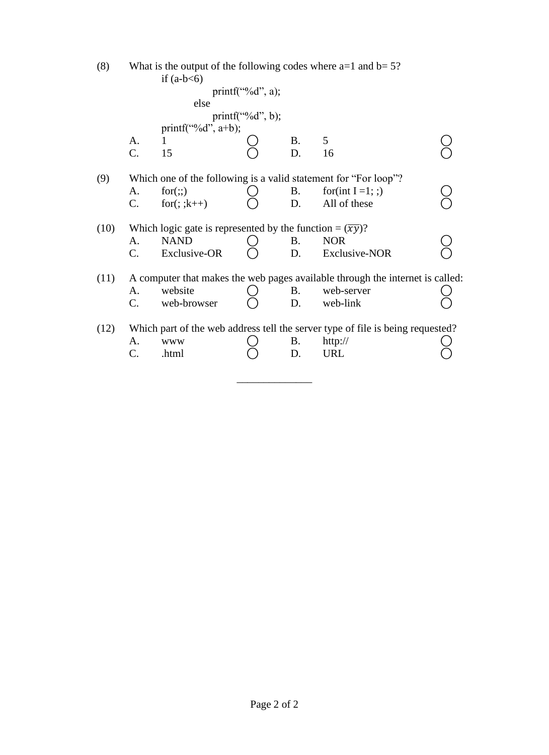| (8)  | What is the output of the following codes where $a=1$ and $b=5$ ?<br>if $(a-b<6)$ |                                                                       |                      |    |                                                                                |  |  |  |  |  |
|------|-----------------------------------------------------------------------------------|-----------------------------------------------------------------------|----------------------|----|--------------------------------------------------------------------------------|--|--|--|--|--|
|      |                                                                                   |                                                                       | printf("% $d$ ", a); |    |                                                                                |  |  |  |  |  |
|      |                                                                                   | else                                                                  |                      |    |                                                                                |  |  |  |  |  |
|      |                                                                                   |                                                                       | $print(f''\&d", b);$ |    |                                                                                |  |  |  |  |  |
|      |                                                                                   | printf("% $d$ ", a+b);                                                |                      |    |                                                                                |  |  |  |  |  |
|      | A.                                                                                |                                                                       |                      | Β. | 5                                                                              |  |  |  |  |  |
|      | C.                                                                                | 15                                                                    |                      | D. | 16                                                                             |  |  |  |  |  |
| (9)  |                                                                                   |                                                                       |                      |    | Which one of the following is a valid statement for "For loop"?                |  |  |  |  |  |
|      | A.                                                                                | for(:,)                                                               |                      | Β. | for(int $I = 1$ ; ;)                                                           |  |  |  |  |  |
|      | C.                                                                                | for $($ ; ; $k++$ )                                                   |                      | D. | All of these                                                                   |  |  |  |  |  |
| (10) |                                                                                   | Which logic gate is represented by the function = $(\overline{xy})$ ? |                      |    |                                                                                |  |  |  |  |  |
|      | A.                                                                                | <b>NAND</b>                                                           |                      | Β. | <b>NOR</b>                                                                     |  |  |  |  |  |
|      | C.                                                                                | Exclusive-OR                                                          |                      | D. | Exclusive-NOR                                                                  |  |  |  |  |  |
| (11) |                                                                                   |                                                                       |                      |    | A computer that makes the web pages available through the internet is called:  |  |  |  |  |  |
|      | A.                                                                                | website                                                               |                      | B. | web-server                                                                     |  |  |  |  |  |
|      | C.                                                                                | web-browser                                                           |                      | D. | web-link                                                                       |  |  |  |  |  |
| (12) |                                                                                   |                                                                       |                      |    | Which part of the web address tell the server type of file is being requested? |  |  |  |  |  |
|      | А.                                                                                | <b>WWW</b>                                                            |                      | B. | http://                                                                        |  |  |  |  |  |
|      | C.                                                                                | .html                                                                 |                      | D. | <b>URL</b>                                                                     |  |  |  |  |  |
|      |                                                                                   |                                                                       |                      |    |                                                                                |  |  |  |  |  |

\_\_\_\_\_\_\_\_\_\_\_\_\_\_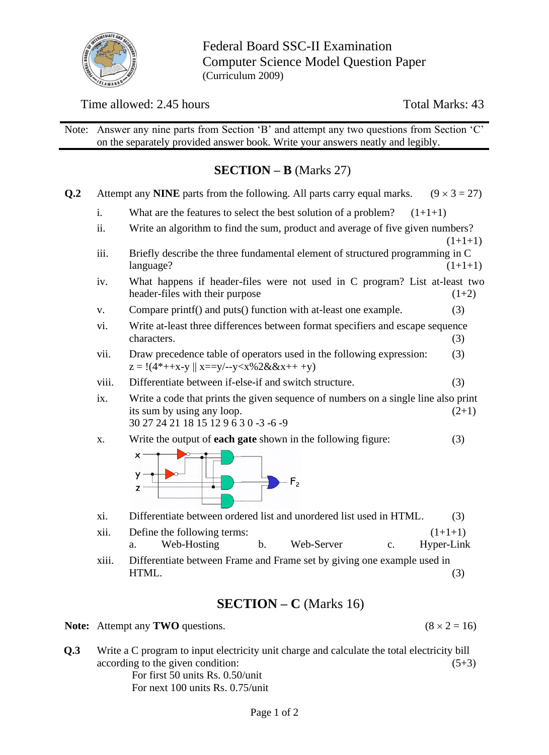

Federal Board SSC-II Examination Computer Science Model Question Paper (Curriculum 2009)

## Time allowed: 2.45 hours Total Marks: 43

Note: Answer any nine parts from Section 'B' and attempt any two questions from Section 'C' on the separately provided answer book. Write your answers neatly and legibly.

## **SECTION – B** (Marks 27)

| Q.2 |       | $(9 \times 3 = 27)$<br>Attempt any NINE parts from the following. All parts carry equal marks.                                                                       |  |  |  |  |  |  |  |  |  |
|-----|-------|----------------------------------------------------------------------------------------------------------------------------------------------------------------------|--|--|--|--|--|--|--|--|--|
|     | i.    | What are the features to select the best solution of a problem?<br>$(1+1+1)$                                                                                         |  |  |  |  |  |  |  |  |  |
|     | ii.   | Write an algorithm to find the sum, product and average of five given numbers?<br>$(1+1+1)$                                                                          |  |  |  |  |  |  |  |  |  |
|     | iii.  | Briefly describe the three fundamental element of structured programming in C<br>language?<br>$(1+1+1)$                                                              |  |  |  |  |  |  |  |  |  |
|     | iv.   | What happens if header-files were not used in C program? List at-least two<br>header-files with their purpose<br>$(1+2)$                                             |  |  |  |  |  |  |  |  |  |
|     | V.    | (3)<br>Compare printf() and puts() function with at-least one example.                                                                                               |  |  |  |  |  |  |  |  |  |
|     | vi.   | Write at-least three differences between format specifiers and escape sequence<br>characters.<br>(3)                                                                 |  |  |  |  |  |  |  |  |  |
|     | vii.  | Draw precedence table of operators used in the following expression:<br>(3)<br>$z = !(4^*++x-y    x==y/-y$                                                           |  |  |  |  |  |  |  |  |  |
|     | viii. | Differentiate between if-else-if and switch structure.<br>(3)                                                                                                        |  |  |  |  |  |  |  |  |  |
|     | ix.   | Write a code that prints the given sequence of numbers on a single line also print<br>its sum by using any loop.<br>$(2+1)$<br>30 27 24 21 18 15 12 9 6 3 0 -3 -6 -9 |  |  |  |  |  |  |  |  |  |
|     | X.    | Write the output of <b>each gate</b> shown in the following figure:<br>(3)<br>×<br>У<br>$F_{2}$<br>z                                                                 |  |  |  |  |  |  |  |  |  |
|     | xi.   | Differentiate between ordered list and unordered list used in HTML.<br>(3)                                                                                           |  |  |  |  |  |  |  |  |  |
|     | xii.  | $(1+1+1)$<br>Define the following terms:<br>Web-Hosting<br>Web-Server<br>$\mathbf b$ .<br>Hyper-Link<br>a.<br>$\mathbf{c}$ .                                         |  |  |  |  |  |  |  |  |  |
|     | xiii. | Differentiate between Frame and Frame set by giving one example used in<br>HTML.<br>(3)                                                                              |  |  |  |  |  |  |  |  |  |
|     |       | <b>SECTION</b> – $C$ (Marks 16)                                                                                                                                      |  |  |  |  |  |  |  |  |  |
|     |       | $(8 \times 2 = 16)$<br><b>Note:</b> Attempt any <b>TWO</b> questions.                                                                                                |  |  |  |  |  |  |  |  |  |
|     |       |                                                                                                                                                                      |  |  |  |  |  |  |  |  |  |

**Q.3** Write a C program to input electricity unit charge and calculate the total electricity bill according to the given condition: (5+3) For first 50 units Rs. 0.50/unit For next 100 units Rs. 0.75/unit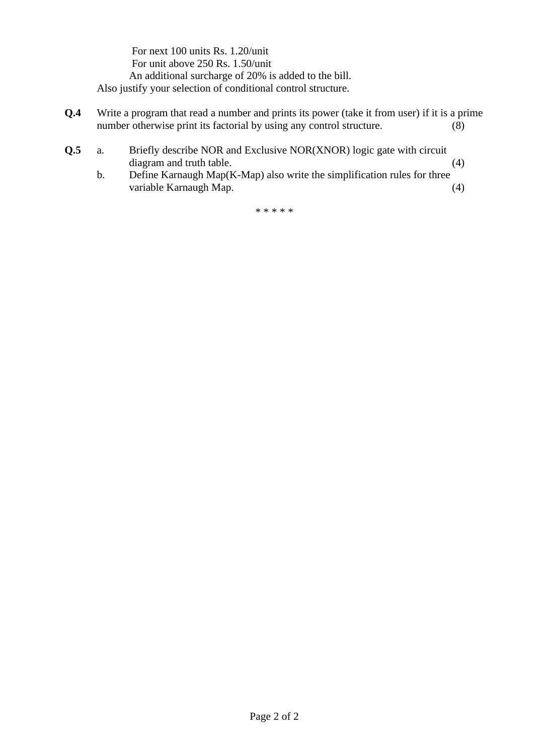For next 100 units Rs. 1.20/unit For unit above 250 Rs. 1.50/unit An additional surcharge of 20% is added to the bill. Also justify your selection of conditional control structure.

- **Q.4** Write a program that read a number and prints its power (take it from user) if it is a prime number otherwise print its factorial by using any control structure. (8)
- **Q.5** a. Briefly describe NOR and Exclusive NOR(XNOR) logic gate with circuit diagram and truth table. (4)
	- b. Define Karnaugh Map(K-Map) also write the simplification rules for three variable Karnaugh Map. (4)

\* \* \* \* \*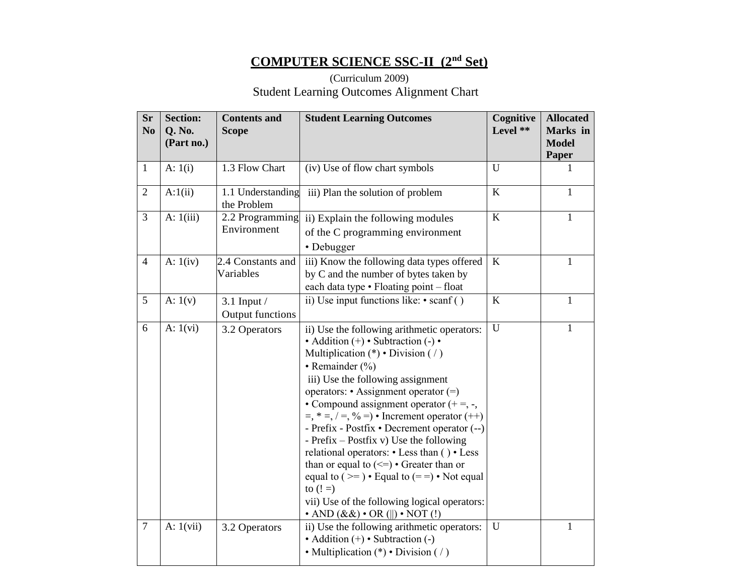# **COMPUTER SCIENCE SSC-II (2nd Set)**

## (Curriculum 2009) Student Learning Outcomes Alignment Chart

| <b>Sr</b><br>N <sub>0</sub> | <b>Section:</b><br>Q. No.<br>(Part no.) | <b>Contents and</b><br><b>Scope</b>        | <b>Student Learning Outcomes</b>                                                                                                                                                                                                                                                                                                                                                                                                                                                                                                                                                                                                                                                                                                               | Cognitive<br>Level ** | <b>Allocated</b><br>Marks in<br><b>Model</b><br>Paper |
|-----------------------------|-----------------------------------------|--------------------------------------------|------------------------------------------------------------------------------------------------------------------------------------------------------------------------------------------------------------------------------------------------------------------------------------------------------------------------------------------------------------------------------------------------------------------------------------------------------------------------------------------------------------------------------------------------------------------------------------------------------------------------------------------------------------------------------------------------------------------------------------------------|-----------------------|-------------------------------------------------------|
| $\mathbf{1}$                | A: $1(i)$                               | 1.3 Flow Chart                             | (iv) Use of flow chart symbols                                                                                                                                                                                                                                                                                                                                                                                                                                                                                                                                                                                                                                                                                                                 | U                     |                                                       |
| $\overline{2}$              | A:1(ii)                                 | 1.1 Understanding<br>the Problem           | iii) Plan the solution of problem                                                                                                                                                                                                                                                                                                                                                                                                                                                                                                                                                                                                                                                                                                              | K                     | 1                                                     |
| 3                           | A: $1(iii)$                             | 2.2 Programming<br>Environment             | ii) Explain the following modules<br>of the C programming environment<br>• Debugger                                                                                                                                                                                                                                                                                                                                                                                                                                                                                                                                                                                                                                                            | $\bf K$               | 1                                                     |
| $\overline{4}$              | A: $1(iv)$                              | 2.4 Constants and<br>Variables             | iii) Know the following data types offered<br>by C and the number of bytes taken by<br>each data type • Floating point - float                                                                                                                                                                                                                                                                                                                                                                                                                                                                                                                                                                                                                 | K                     | $\mathbf{1}$                                          |
| 5                           | A: $1(v)$                               | $3.1$ Input $/$<br><b>Output functions</b> | ii) Use input functions like: • scanf ()                                                                                                                                                                                                                                                                                                                                                                                                                                                                                                                                                                                                                                                                                                       | K                     | $\mathbf{1}$                                          |
| 6                           | A: $1(vi)$                              | 3.2 Operators                              | ii) Use the following arithmetic operators:<br>$\bullet$ Addition (+) $\bullet$ Subtraction (-) $\bullet$<br>Multiplication (*) • Division ( $\prime$ )<br>• Remainder $(\% )$<br>iii) Use the following assignment<br>operators: • Assignment operator (=)<br>• Compound assignment operator $(+) =, -$ ,<br>$=$ , $* =$ , $/ =$ , $\% =$ ) • Increment operator (++)<br>- Prefix - Postfix • Decrement operator (--)<br>- Prefix – Postfix v) Use the following<br>relational operators: • Less than () • Less<br>than or equal to $(\leq)$ • Greater than or<br>equal to $(>=) \cdot$ Equal to $(==) \cdot$ Not equal<br>to $(!=)$<br>vii) Use of the following logical operators:<br>$\cdot$ AND $(\&\&\$ $\cdot$ OR $(  )\cdot$ NOT $(!)$ | $\mathbf U$           | 1                                                     |
| $\overline{7}$              | A: $1(vii)$                             | 3.2 Operators                              | ii) Use the following arithmetic operators:<br>$\bullet$ Addition $(+) \bullet$ Subtraction $(-)$<br>• Multiplication $(*)$ • Division (/)                                                                                                                                                                                                                                                                                                                                                                                                                                                                                                                                                                                                     | U                     | $\mathbf{1}$                                          |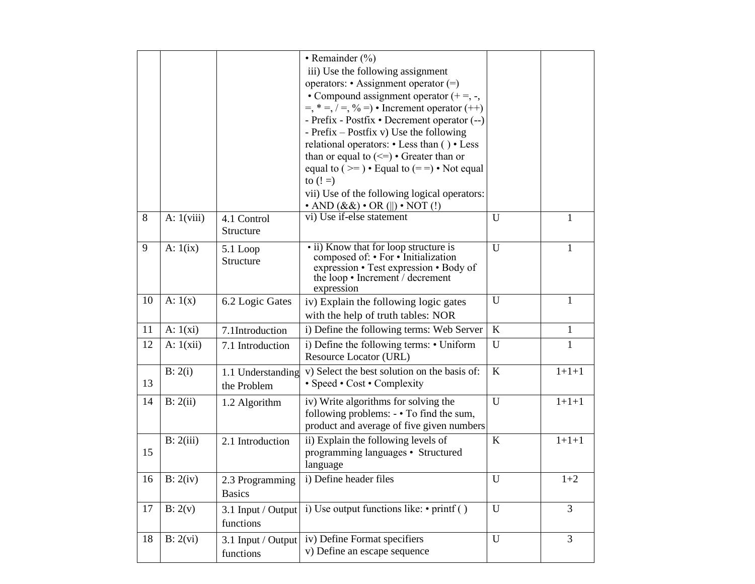|    |              |                                  | • Remainder (%)<br>iii) Use the following assignment<br>operators: • Assignment operator $(=)$<br>• Compound assignment operator $(+) =, -$ ,<br>$=$ , $* =$ , $/ =$ , $\% =$ ) • Increment operator (++)<br>- Prefix - Postfix • Decrement operator (--)<br>- Prefix $-$ Postfix v) Use the following<br>relational operators: • Less than () • Less<br>than or equal to $(\leq)$ • Greater than or<br>equal to $(>=) \cdot$ Equal to $(==) \cdot$ Not equal<br>to $(!=)$<br>vii) Use of the following logical operators: |              |              |
|----|--------------|----------------------------------|----------------------------------------------------------------------------------------------------------------------------------------------------------------------------------------------------------------------------------------------------------------------------------------------------------------------------------------------------------------------------------------------------------------------------------------------------------------------------------------------------------------------------|--------------|--------------|
| 8  | A: $1(viii)$ | 4.1 Control<br>Structure         | $\cdot$ AND $(\&\&\$ $\cdot$ OR $\left(\ \right) \cdot$ NOT $\left(\cdot\right)$<br>vi) Use if-else statement                                                                                                                                                                                                                                                                                                                                                                                                              | U            | 1            |
| 9  | A: $1(ix)$   | 5.1 Loop<br>Structure            | • ii) Know that for loop structure is<br>composed of: • For • Initialization<br>expression • Test expression • Body of<br>the loop • Increment / decrement<br>expression                                                                                                                                                                                                                                                                                                                                                   | $\mathbf{U}$ | $\mathbf{1}$ |
| 10 | A: $1(x)$    | 6.2 Logic Gates                  | iv) Explain the following logic gates<br>with the help of truth tables: NOR                                                                                                                                                                                                                                                                                                                                                                                                                                                | U            | 1            |
| 11 | A: $1(xi)$   | 7.1Introduction                  | i) Define the following terms: Web Server                                                                                                                                                                                                                                                                                                                                                                                                                                                                                  | $\bf K$      | $\mathbf{1}$ |
| 12 | A: $1(xii)$  | 7.1 Introduction                 | i) Define the following terms: • Uniform<br>Resource Locator (URL)                                                                                                                                                                                                                                                                                                                                                                                                                                                         | U            | 1            |
| 13 | B: 2(i)      | 1.1 Understanding<br>the Problem | v) Select the best solution on the basis of:<br>• Speed • Cost • Complexity                                                                                                                                                                                                                                                                                                                                                                                                                                                | $\rm K$      | $1 + 1 + 1$  |
| 14 | B: 2(ii)     | 1.2 Algorithm                    | iv) Write algorithms for solving the<br>following problems: - • To find the sum,<br>product and average of five given numbers                                                                                                                                                                                                                                                                                                                                                                                              | $\mathbf U$  | $1+1+1$      |
| 15 | B: 2(iii)    | 2.1 Introduction                 | ii) Explain the following levels of<br>programming languages • Structured<br>language                                                                                                                                                                                                                                                                                                                                                                                                                                      | $\bf K$      | $1 + 1 + 1$  |
| 16 | B: 2(iv)     | 2.3 Programming<br><b>Basics</b> | i) Define header files                                                                                                                                                                                                                                                                                                                                                                                                                                                                                                     | ${\bf U}$    | $1 + 2$      |
| 17 | B: 2(v)      | 3.1 Input / Output<br>functions  | i) Use output functions like: $\cdot$ printf ()                                                                                                                                                                                                                                                                                                                                                                                                                                                                            | $\mathbf U$  | 3            |
| 18 | B: 2(vi)     | 3.1 Input / Output<br>functions  | iv) Define Format specifiers<br>v) Define an escape sequence                                                                                                                                                                                                                                                                                                                                                                                                                                                               | $\mathbf U$  | 3            |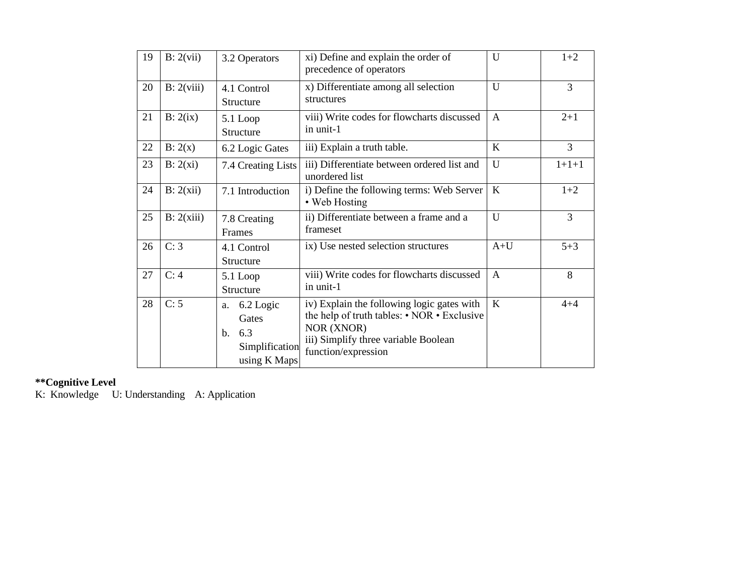| 19 | B: 2(vii)  | 3.2 Operators                                                                       | xi) Define and explain the order of<br>precedence of operators                                                                                                         | $\mathbf{U}$ | $1+2$          |
|----|------------|-------------------------------------------------------------------------------------|------------------------------------------------------------------------------------------------------------------------------------------------------------------------|--------------|----------------|
| 20 | B: 2(viii) | 4.1 Control<br>Structure                                                            | x) Differentiate among all selection<br>structures                                                                                                                     | U            | 3              |
| 21 | B: 2(ix)   | 5.1 Loop<br>Structure                                                               | viii) Write codes for flowcharts discussed<br>in unit-1                                                                                                                | $\mathsf{A}$ | $2 + 1$        |
| 22 | B: 2(x)    | 6.2 Logic Gates                                                                     | iii) Explain a truth table.                                                                                                                                            | K            | $\overline{3}$ |
| 23 | B: 2(xi)   | 7.4 Creating Lists                                                                  | iii) Differentiate between ordered list and<br>unordered list                                                                                                          | $\mathbf{U}$ | $1+1+1$        |
| 24 | B: 2(xii)  | 7.1 Introduction                                                                    | i) Define the following terms: Web Server<br>• Web Hosting                                                                                                             | K            | $1+2$          |
| 25 | B: 2(xiii) | 7.8 Creating<br>Frames                                                              | ii) Differentiate between a frame and a<br>frameset                                                                                                                    | U            | 3              |
| 26 | C: 3       | 4.1 Control<br>Structure                                                            | ix) Use nested selection structures                                                                                                                                    | $A+U$        | $5 + 3$        |
| 27 | C: 4       | $5.1$ Loop<br>Structure                                                             | viii) Write codes for flowcharts discussed<br>in unit-1                                                                                                                | $\mathbf{A}$ | 8              |
| 28 | C: 5       | 6.2 Logic<br>a.<br>Gates<br>6.3<br>$\mathbf{b}$ .<br>Simplification<br>using K Maps | iv) Explain the following logic gates with<br>the help of truth tables: • NOR • Exclusive<br>NOR (XNOR)<br>iii) Simplify three variable Boolean<br>function/expression | K            | $4 + 4$        |

#### **\*\*Cognitive Level**

K: Knowledge U: Understanding A: Application